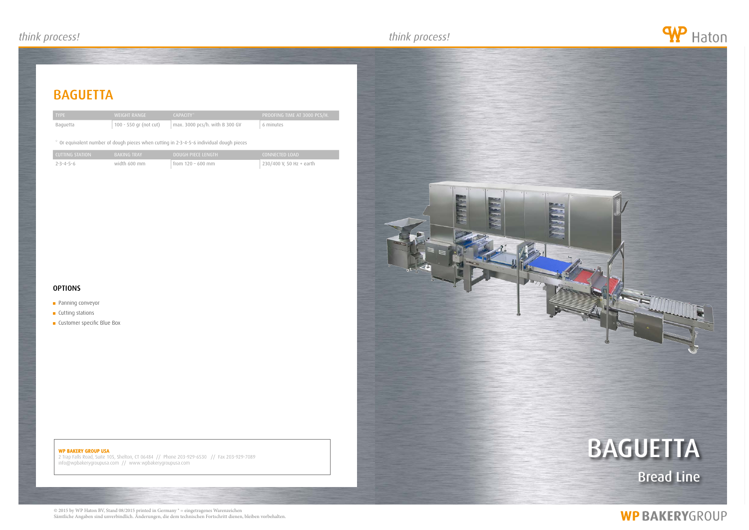## **BAGUETTA**

## WP BAKERY GROUP USA

2 Trap Falls Road, Suite 105, Shelton, CT 06484 // Phone 203-929-6530 // Fax 203-929-7089 info@wpbakerygroupusa.com // www.wpbakerygroupusa.com





# **WP BAKERYGROUP**

| <b>TYPE</b> | WEIGHT RANGE           | CAPACITY <sup>*</sup>                 | PROOFING TIME AT 3000 PCS/H. |
|-------------|------------------------|---------------------------------------|------------------------------|
| Baguetta    | 100 - 550 gr (not cut) | $\sim$ max. 3000 pcs/h. with B 300 GV | 6 minutes                    |

## \* Or equivalent number of dough pieces when cutting in 2-3-4-5-6 individual dough pieces

| LCUTTING STATION | <b>BAKING TRAY</b> | DOUGH PIECE LENGTH  | CONNECTED LOAD           |
|------------------|--------------------|---------------------|--------------------------|
| 7-3-4-5-6        | width 600 mm       | from $120 - 600$ mm | 230/400 V, 50 Hz + earth |

## **OPTIONS**

- **Panning conveyor**
- **Cutting stations**
- **Customer specific Blue Box**